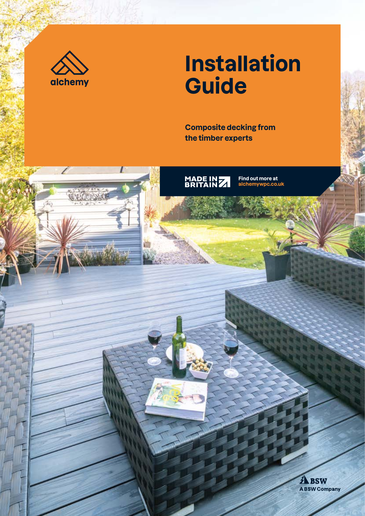

# **Installation Guide**

**Composite decking from the timber experts**



MADE IN 7

**Find out more at alchemywpc.co.uk**

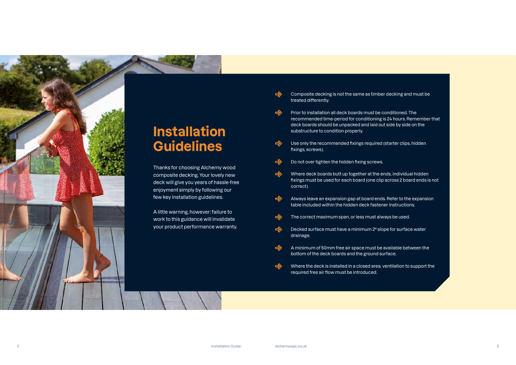

# **Installation Guidelines**

Thanks for choosing Alchemy wood composite decking. Your lovely new deck will give you years of hassle-free enjoyment simply by following our few key installation guidelines.

A little warning, however: failure to work to this guidance will invalidate your product performance warranty.

- Composite decking is not the same as timber decking and must be treated differently.
- $\Rightarrow$ Prior to installation all deck boards must be conditioned. The recommended time-period for conditioning is 24 hours. Remember that deck boards should be unpacked and laid out side by side on the substructure to condition properly.
- Use only the recommended fixings required (starter clips, hidden  $\Rightarrow$ fixings, screws).
- $\Rightarrow$ Do not over tighten the hidden fixing screws.
- Where deck boards butt up together at the ends, individual hidden  $\Rightarrow$ fixings must be used for each board (one clip across 2 board ends is not correct).
- Always leave an expansion gap at board ends. Refer to the expansion  $\Rightarrow$ table included within the hidden deck fastener instructions.
- The correct maximum span, or less must always be used.  $\Rightarrow$
- $\Rightarrow$ Decked surface must have a minimum 2º slope for surface water drainage.
- A minimum of 50mm free air space must be available between the  $\Rightarrow$ bottom of the deck boards and the ground surface.
- Where the deck is installed in a closed area, ventilation to support the  $\Rightarrow$ required free air flow must be introduced.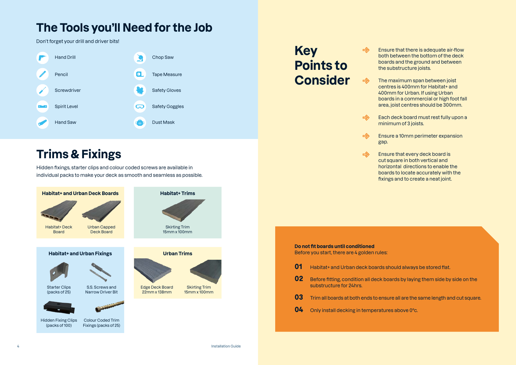**Key**   $\Rightarrow$ **Points to Consider**  $\Rightarrow$ 

 $\Rightarrow$ 

 $\Rightarrow$ 

 $\Rightarrow$ 

Ensure that there is adequate air-flow both between the bottom of the deck boards and the ground and between the substructure joists.

The maximum span between joist centres is 400mm for Habitat+ and 400mm for Urban. If using Urban boards in a commercial or high foot fall area, joist centres should be 300mm.

ould always be stored flat.

**o** also by laying them side by side on the

**e** all are the same length and cut square.

**s** above 0°c.

Each deck board must rest fully upon a minimum of 3 joists.

Ensure a 10mm perimeter expansion gap.

Ensure that every deck board is cut square in both vertical and horizontal directions to enable the boards to locate accurately with the fixings and to create a neat joint.

| Do not fit boards until conditioned<br>Before you start, there are 4 golden rules: |                                                                   |  |  |  |
|------------------------------------------------------------------------------------|-------------------------------------------------------------------|--|--|--|
| 01                                                                                 | Habitat+ and Urban deck boards sh                                 |  |  |  |
| 02                                                                                 | Before fitting, condition all deck boa<br>substructure for 24hrs. |  |  |  |
| 03                                                                                 | Trim all boards at both ends to ensur                             |  |  |  |
| 04                                                                                 | Only install decking in temperatures                              |  |  |  |
|                                                                                    |                                                                   |  |  |  |

## **The Tools you'll Need for the Job**

Don't forget your drill and driver bits!

# **Trims & Fixings**

Hidden fixings, starter clips and colour coded screws are available in individual packs to make your deck as smooth and seamless as possible.



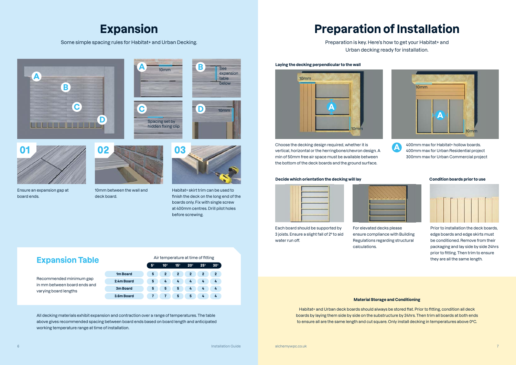### **Expansion Table**

Recommended minimum gap in mm between board ends and varying board lengths

Air temperature at time of fitting

|                      | All tongolataro at thro or http:// |              |              |              |              |            |
|----------------------|------------------------------------|--------------|--------------|--------------|--------------|------------|
|                      | 5°                                 | $10^{\circ}$ | $15^\circ$   | $20^\circ$   | $25^\circ$   | $30^\circ$ |
| 1 <sub>m</sub> Board | 5                                  | $\mathbf{2}$ | $\mathbf{2}$ | $\mathbf{2}$ | $\mathbf{2}$ | 2          |
| 2.4m Board           | 5                                  | 4            | 4            | 4            | 4            | 4          |
| 3m Board             | 5                                  | 5            | 5            | 4            | 4            | 4          |
| 3.6m Board           |                                    |              | 5            | 5            | 4            | 4          |

### **Material Storage and Conditioning**

Habitat+ and Urban deck boards should always be stored flat. Prior to fitting, condition all deck boards by laying them side by side on the substructure by 24hrs. Then trim all boards at both ends to ensure all are the same length and cut square. Only install decking in temperatures above 0ºC.

All decking materials exhibit expansion and contraction over a range of temperatures. The table above gives recommended spacing between board ends based on board length and anticipated working temperature range at time of installation.

### **Laying the decking perpendicular to the wall**



**B**



**D**

See expansion table below





10mm

Choose the decking design required, whether it is vertical, horizontal or the herringbone/chevron design. A min of 50mm free air space must be available between the bottom of the deck boards and the ground surface.

### **Decide which orientation the decking will lay and the condition boards prior to use**





Each board should be supported by 3 joists. Ensure a slight fall of 2º to aid water run off.





For elevated decks please ensure compliance with Building Regulations regarding structural calculations.

Prior to installation the deck boards, edge boards and edge skirts must be conditioned. Remove from their packaging and lay side by side 24hrs prior to fitting. Then trim to ensure they are all the same length.

400mm max for Habitat+ hollow boards. 400mm max for Urban Residential project 300mm max for Urban Commercial project



**A**

### **Expansion**

Some simple spacing rules for Habitat+ and Urban Decking.

# **Preparation of Installation**

Preparation is key. Here's how to get your Habitat+ and Urban decking ready for installation.

Ensure an expansion gap at

board ends.

**01**

10mm between the wall and deck board.



Habitat+ skirt trim can be used to finish the deck on the long end of the boards only. Fix with single screw at 400mm centres. Drill pilot holes before screwing.

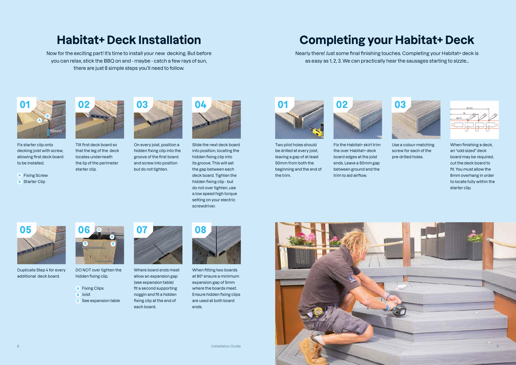When finishing a deck, an "odd sized" deck board may be required, cut the deck board to fit. You must allow the 8mm overhang in order to locate fully within the starter clip.

## **Habitat+ Deck Installation**

Now for the exciting part! It's time to install your new decking. But before you can relax, stick the BBQ on and - maybe - catch a few rays of sun, there are just 8 simple steps you'll need to follow.

# **Completing your Habitat+ Deck**

Nearly there! Just some final finishing touches. Completing your Habitat+ deck is as easy as 1, 2, 3. We can practically hear the sausages starting to sizzle…



Two pilot holes should be drilled at every joist, leaving a gap of at least 50mm from both the beginning and the end of the trim.

Fix the Habitat+ skirt trim the over Habitat+ deck board edges at the joist ends. Leave a 50mm gap between ground and the trim to aid airflow.





Use a colour-matching screw for each of the pre-drilled holes.



**A** Fixing Screw **B** Starter Clip





Tilt first deck board so that the leg of the deck locates underneath the lip of the perimeter starter clip.



On every joist, position a hidden fixing clip into the groove of the first board and screw into position but do not tighten.

Slide the next deck board into position, locating the hidden fixing clip into its groove. This will set the gap between each deck board. Tighten the hidden fixing clip - but do not over tighten, use a low speed high torque setting on your electric screwdriver.





Duplicate Step 4 for every additional deck board.

Where board ends meet allow an expansion gap (see expansion table) fit a second supporting noggin and fit a hidden fixing clip at the end of each board.





When fitting two boards at 90º ensure a minimum expansion gap of 5mm where the boards meet. Ensure hidden fixing clips are used at both board ends.



Fix starter clip onto decking joist with screw, allowing first deck board to be installed.



DO NOT over tighten the hidden fixing clip.

- **A** Fixing Clips **B** Joist
- **C** See expansion table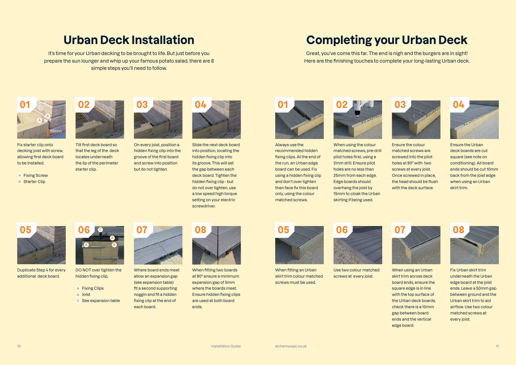## **Urban Deck Installation**

It's time for your Urban decking to be brought to life. But just before you prepare the sun lounger and whip up your famous potato salad, there are 8 simple steps you'll need to follow.

# **Completing your Urban Deck**

Great, you've come this far. The end is nigh and the burgers are in sight! Here are the finishing touches to complete your long-lasting Urban deck.

Always use the recommended hidden fixing clips. At the end of the run, an Urban edge board can be used. Fix using a hidden fixing clip and don't over tighten then face fix this board only, using the colour matched screws.



When using the colour matched screws, pre-drill pilot holes first, using a 2mm drill. Ensure pilot holes are no less than 25mm from each edge. Edge boards should overhang the joist by 15mm to cloak the Urban skirting if being used.





Ensure the colour matched screws are screwed into the pilot holes at 90º with two screws at every joist. Once screwed in place, the head should be flush with the deck surface.



Ensure the Urban deck boards are cut square (see note on conditioning). All board ends should be cut 10mm back from the joist edge when using an Urban skirt trim.



When fitting an Urban skirt trim colour matched screws must be used.



Use two colour matched screws at every joist.

**A** Fixing Screw **B** Starter Clip



When using an Urban skirt trim across deck board ends, ensure the square edge is in line with the top surface of the Urban deck boards, check there is a 10mm gap between board ends and the vertical edge board.



Fix Urban skirt trim underneath the Urban edge board at the joist ends. Leave a 50mm gap between ground and the Urban skirt trim to aid airflow. Use two colour matched screws at every joist.



Tilt first deck board so that the leg of the deck locates underneath the lip of the perimeter starter clip.

On every joist, position a hidden fixing clip into the groove of the first board and screw into position but do not tighten.



Slide the next deck board into position, locating the hidden fixing clip into its groove. This will set the gap between each deck board. Tighten the hidden fixing clip - but do not over tighten, use a low speed high torque setting on your electric screwdriver.





Duplicate Step 4 for every additional deck board.

Where board ends meet allow an expansion gap (see expansion table) fit a second supporting noggin and fit a hidden fixing clip at the end of each board.





When fitting two boards at 90º ensure a minimum expansion gap of 5mm where the boards meet. Ensure hidden fixing clips are used at both board ends.



Fix starter clip onto decking joist with screw, allowing first deck board to be installed.

**A** Fixing Clips



DO NOT over tighten the hidden fixing clip.

- **B** Joist
- **C** See expansion table